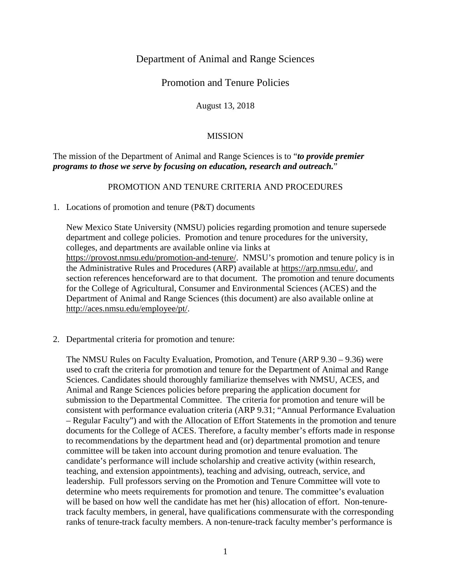## Department of Animal and Range Sciences

# Promotion and Tenure Policies

August 13, 2018

### MISSION

### The mission of the Department of Animal and Range Sciences is to "*to provide premier programs to those we serve by focusing on education, research and outreach.*"

#### PROMOTION AND TENURE CRITERIA AND PROCEDURES

1. Locations of promotion and tenure (P&T) documents

New Mexico State University (NMSU) policies regarding promotion and tenure supersede department and college policies. Promotion and tenure procedures for the university, colleges, and departments are available online via links at [https://provost.nmsu.edu/promotion-and-tenure/.](https://provost.nmsu.edu/promotion-and-tenure/) NMSU's promotion and tenure policy is in the Administrative Rules and Procedures (ARP) available at [https://arp.nmsu.edu/,](https://arp.nmsu.edu/) and section references henceforward are to that document. The promotion and tenure documents for the College of Agricultural, Consumer and Environmental Sciences (ACES) and the Department of Animal and Range Sciences (this document) are also available online at [http://aces.nmsu.edu/employee/pt/.](http://aces.nmsu.edu/employee/pt/)

2. Departmental criteria for promotion and tenure:

The NMSU Rules on Faculty Evaluation, Promotion, and Tenure (ARP 9.30 – 9.36) were used to craft the criteria for promotion and tenure for the Department of Animal and Range Sciences. Candidates should thoroughly familiarize themselves with NMSU, ACES, and Animal and Range Sciences policies before preparing the application document for submission to the Departmental Committee. The criteria for promotion and tenure will be consistent with performance evaluation criteria (ARP 9.31; "Annual Performance Evaluation – Regular Faculty") and with the Allocation of Effort Statements in the promotion and tenure documents for the College of ACES. Therefore, a faculty member's efforts made in response to recommendations by the department head and (or) departmental promotion and tenure committee will be taken into account during promotion and tenure evaluation. The candidate's performance will include scholarship and creative activity (within research, teaching, and extension appointments), teaching and advising, outreach, service, and leadership. Full professors serving on the Promotion and Tenure Committee will vote to determine who meets requirements for promotion and tenure. The committee's evaluation will be based on how well the candidate has met her (his) allocation of effort. Non-tenuretrack faculty members, in general, have qualifications commensurate with the corresponding ranks of tenure-track faculty members. A non-tenure-track faculty member's performance is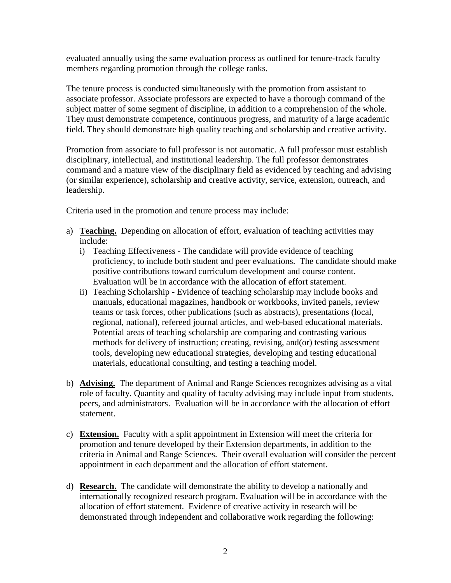evaluated annually using the same evaluation process as outlined for tenure-track faculty members regarding promotion through the college ranks.

The tenure process is conducted simultaneously with the promotion from assistant to associate professor. Associate professors are expected to have a thorough command of the subject matter of some segment of discipline, in addition to a comprehension of the whole. They must demonstrate competence, continuous progress, and maturity of a large academic field. They should demonstrate high quality teaching and scholarship and creative activity.

Promotion from associate to full professor is not automatic. A full professor must establish disciplinary, intellectual, and institutional leadership. The full professor demonstrates command and a mature view of the disciplinary field as evidenced by teaching and advising (or similar experience), scholarship and creative activity, service, extension, outreach, and leadership.

Criteria used in the promotion and tenure process may include:

- a) **Teaching.** Depending on allocation of effort, evaluation of teaching activities may include:
	- i) Teaching Effectiveness The candidate will provide evidence of teaching proficiency, to include both student and peer evaluations. The candidate should make positive contributions toward curriculum development and course content. Evaluation will be in accordance with the allocation of effort statement.
	- ii) Teaching Scholarship Evidence of teaching scholarship may include books and manuals, educational magazines, handbook or workbooks, invited panels, review teams or task forces, other publications (such as abstracts), presentations (local, regional, national), refereed journal articles, and web-based educational materials. Potential areas of teaching scholarship are comparing and contrasting various methods for delivery of instruction; creating, revising, and(or) testing assessment tools, developing new educational strategies, developing and testing educational materials, educational consulting, and testing a teaching model.
- b) **Advising.** The department of Animal and Range Sciences recognizes advising as a vital role of faculty. Quantity and quality of faculty advising may include input from students, peers, and administrators. Evaluation will be in accordance with the allocation of effort statement.
- c) **Extension.** Faculty with a split appointment in Extension will meet the criteria for promotion and tenure developed by their Extension departments, in addition to the criteria in Animal and Range Sciences. Their overall evaluation will consider the percent appointment in each department and the allocation of effort statement.
- d) **Research.** The candidate will demonstrate the ability to develop a nationally and internationally recognized research program. Evaluation will be in accordance with the allocation of effort statement. Evidence of creative activity in research will be demonstrated through independent and collaborative work regarding the following: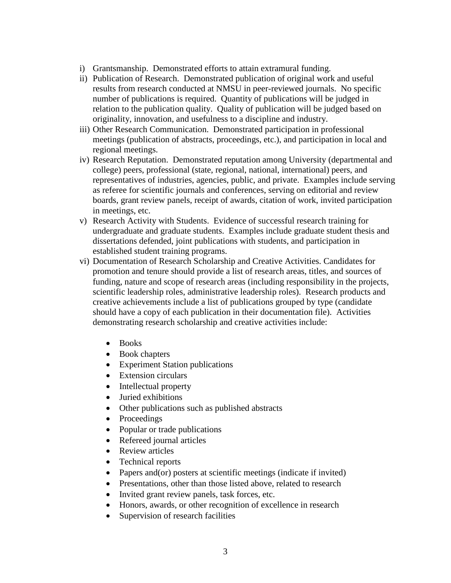- i) Grantsmanship. Demonstrated efforts to attain extramural funding.
- ii) Publication of Research. Demonstrated publication of original work and useful results from research conducted at NMSU in peer-reviewed journals. No specific number of publications is required. Quantity of publications will be judged in relation to the publication quality. Quality of publication will be judged based on originality, innovation, and usefulness to a discipline and industry.
- iii) Other Research Communication. Demonstrated participation in professional meetings (publication of abstracts, proceedings, etc.), and participation in local and regional meetings.
- iv) Research Reputation. Demonstrated reputation among University (departmental and college) peers, professional (state, regional, national, international) peers, and representatives of industries, agencies, public, and private. Examples include serving as referee for scientific journals and conferences, serving on editorial and review boards, grant review panels, receipt of awards, citation of work, invited participation in meetings, etc.
- v) Research Activity with Students. Evidence of successful research training for undergraduate and graduate students. Examples include graduate student thesis and dissertations defended, joint publications with students, and participation in established student training programs.
- vi) Documentation of Research Scholarship and Creative Activities. Candidates for promotion and tenure should provide a list of research areas, titles, and sources of funding, nature and scope of research areas (including responsibility in the projects, scientific leadership roles, administrative leadership roles). Research products and creative achievements include a list of publications grouped by type (candidate should have a copy of each publication in their documentation file). Activities demonstrating research scholarship and creative activities include:
	- Books
	- Book chapters
	- Experiment Station publications
	- Extension circulars
	- Intellectual property
	- Juried exhibitions
	- Other publications such as published abstracts
	- Proceedings
	- Popular or trade publications
	- Refereed journal articles
	- Review articles
	- Technical reports
	- Papers and (or) posters at scientific meetings (indicate if invited)
	- Presentations, other than those listed above, related to research
	- Invited grant review panels, task forces, etc.
	- Honors, awards, or other recognition of excellence in research
	- Supervision of research facilities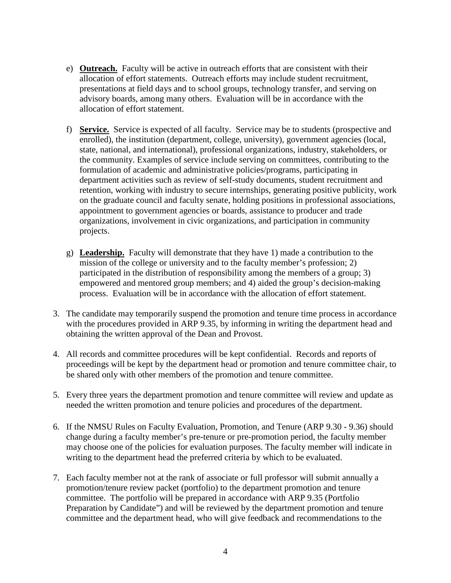- e) **Outreach.** Faculty will be active in outreach efforts that are consistent with their allocation of effort statements. Outreach efforts may include student recruitment, presentations at field days and to school groups, technology transfer, and serving on advisory boards, among many others. Evaluation will be in accordance with the allocation of effort statement.
- f) **Service.** Service is expected of all faculty. Service may be to students (prospective and enrolled), the institution (department, college, university), government agencies (local, state, national, and international), professional organizations, industry, stakeholders, or the community. Examples of service include serving on committees, contributing to the formulation of academic and administrative policies/programs, participating in department activities such as review of self-study documents, student recruitment and retention, working with industry to secure internships, generating positive publicity, work on the graduate council and faculty senate, holding positions in professional associations, appointment to government agencies or boards, assistance to producer and trade organizations, involvement in civic organizations, and participation in community projects.
- g) **Leadership.** Faculty will demonstrate that they have 1) made a contribution to the mission of the college or university and to the faculty member's profession; 2) participated in the distribution of responsibility among the members of a group; 3) empowered and mentored group members; and 4) aided the group's decision-making process. Evaluation will be in accordance with the allocation of effort statement.
- 3. The candidate may temporarily suspend the promotion and tenure time process in accordance with the procedures provided in ARP 9.35, by informing in writing the department head and obtaining the written approval of the Dean and Provost.
- 4. All records and committee procedures will be kept confidential. Records and reports of proceedings will be kept by the department head or promotion and tenure committee chair, to be shared only with other members of the promotion and tenure committee.
- 5. Every three years the department promotion and tenure committee will review and update as needed the written promotion and tenure policies and procedures of the department.
- 6. If the NMSU Rules on Faculty Evaluation, Promotion, and Tenure (ARP 9.30 9.36) should change during a faculty member's pre-tenure or pre-promotion period, the faculty member may choose one of the policies for evaluation purposes. The faculty member will indicate in writing to the department head the preferred criteria by which to be evaluated.
- 7. Each faculty member not at the rank of associate or full professor will submit annually a promotion/tenure review packet (portfolio) to the department promotion and tenure committee. The portfolio will be prepared in accordance with ARP 9.35 (Portfolio Preparation by Candidate") and will be reviewed by the department promotion and tenure committee and the department head, who will give feedback and recommendations to the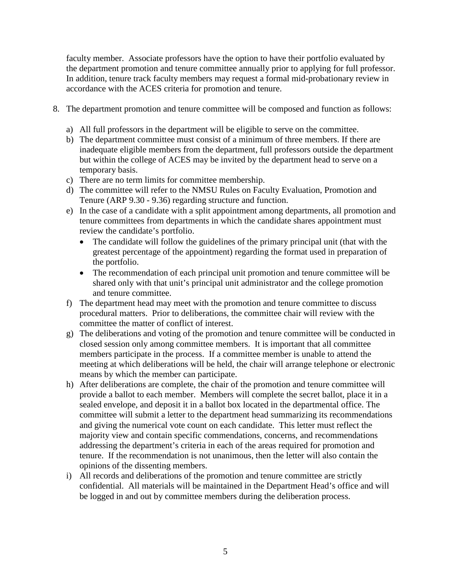faculty member. Associate professors have the option to have their portfolio evaluated by the department promotion and tenure committee annually prior to applying for full professor. In addition, tenure track faculty members may request a formal mid-probationary review in accordance with the ACES criteria for promotion and tenure.

- 8. The department promotion and tenure committee will be composed and function as follows:
	- a) All full professors in the department will be eligible to serve on the committee.
	- b) The department committee must consist of a minimum of three members. If there are inadequate eligible members from the department, full professors outside the department but within the college of ACES may be invited by the department head to serve on a temporary basis.
	- c) There are no term limits for committee membership.
	- d) The committee will refer to the NMSU Rules on Faculty Evaluation, Promotion and Tenure (ARP 9.30 - 9.36) regarding structure and function.
	- e) In the case of a candidate with a split appointment among departments, all promotion and tenure committees from departments in which the candidate shares appointment must review the candidate's portfolio.
		- The candidate will follow the guidelines of the primary principal unit (that with the greatest percentage of the appointment) regarding the format used in preparation of the portfolio.
		- The recommendation of each principal unit promotion and tenure committee will be shared only with that unit's principal unit administrator and the college promotion and tenure committee.
	- f) The department head may meet with the promotion and tenure committee to discuss procedural matters. Prior to deliberations, the committee chair will review with the committee the matter of conflict of interest.
	- g) The deliberations and voting of the promotion and tenure committee will be conducted in closed session only among committee members. It is important that all committee members participate in the process. If a committee member is unable to attend the meeting at which deliberations will be held, the chair will arrange telephone or electronic means by which the member can participate.
	- h) After deliberations are complete, the chair of the promotion and tenure committee will provide a ballot to each member. Members will complete the secret ballot, place it in a sealed envelope, and deposit it in a ballot box located in the departmental office. The committee will submit a letter to the department head summarizing its recommendations and giving the numerical vote count on each candidate. This letter must reflect the majority view and contain specific commendations, concerns, and recommendations addressing the department's criteria in each of the areas required for promotion and tenure. If the recommendation is not unanimous, then the letter will also contain the opinions of the dissenting members.
	- i) All records and deliberations of the promotion and tenure committee are strictly confidential. All materials will be maintained in the Department Head's office and will be logged in and out by committee members during the deliberation process.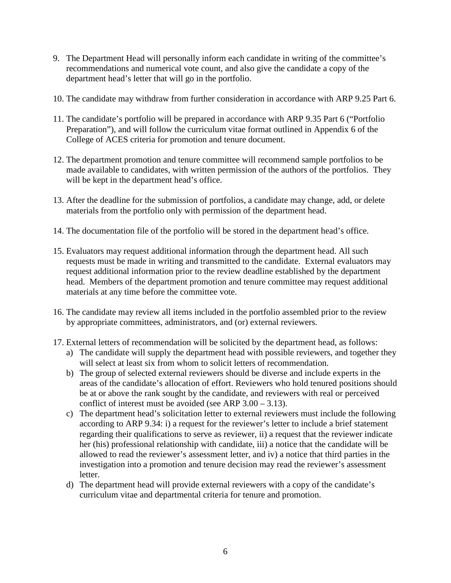- 9. The Department Head will personally inform each candidate in writing of the committee's recommendations and numerical vote count, and also give the candidate a copy of the department head's letter that will go in the portfolio.
- 10. The candidate may withdraw from further consideration in accordance with ARP 9.25 Part 6.
- 11. The candidate's portfolio will be prepared in accordance with ARP 9.35 Part 6 ("Portfolio Preparation"), and will follow the curriculum vitae format outlined in Appendix 6 of the College of ACES criteria for promotion and tenure document.
- 12. The department promotion and tenure committee will recommend sample portfolios to be made available to candidates, with written permission of the authors of the portfolios. They will be kept in the department head's office.
- 13. After the deadline for the submission of portfolios, a candidate may change, add, or delete materials from the portfolio only with permission of the department head.
- 14. The documentation file of the portfolio will be stored in the department head's office.
- 15. Evaluators may request additional information through the department head. All such requests must be made in writing and transmitted to the candidate. External evaluators may request additional information prior to the review deadline established by the department head. Members of the department promotion and tenure committee may request additional materials at any time before the committee vote.
- 16. The candidate may review all items included in the portfolio assembled prior to the review by appropriate committees, administrators, and (or) external reviewers.
- 17. External letters of recommendation will be solicited by the department head, as follows:
	- a) The candidate will supply the department head with possible reviewers, and together they will select at least six from whom to solicit letters of recommendation.
	- b) The group of selected external reviewers should be diverse and include experts in the areas of the candidate's allocation of effort. Reviewers who hold tenured positions should be at or above the rank sought by the candidate, and reviewers with real or perceived conflict of interest must be avoided (see ARP 3.00 – 3.13).
	- c) The department head's solicitation letter to external reviewers must include the following according to ARP 9.34: i) a request for the reviewer's letter to include a brief statement regarding their qualifications to serve as reviewer, ii) a request that the reviewer indicate her (his) professional relationship with candidate, iii) a notice that the candidate will be allowed to read the reviewer's assessment letter, and iv) a notice that third parties in the investigation into a promotion and tenure decision may read the reviewer's assessment letter.
	- d) The department head will provide external reviewers with a copy of the candidate's curriculum vitae and departmental criteria for tenure and promotion.